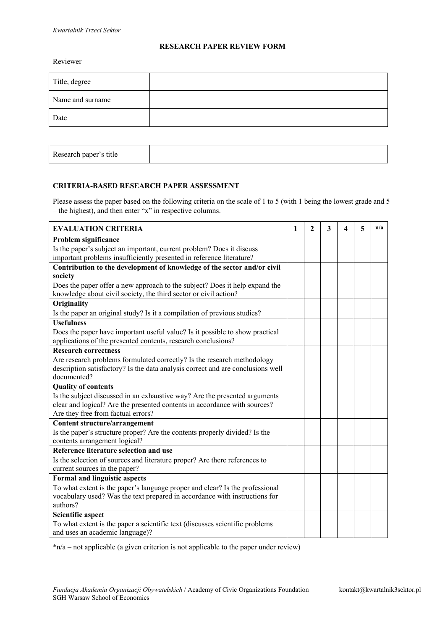## **RESEARCH PAPER REVIEW FORM**

Reviewer

| Title, degree    |  |
|------------------|--|
| Name and surname |  |
| Date             |  |
|                  |  |

| Research paper's title |  |  |  |
|------------------------|--|--|--|
|------------------------|--|--|--|

## **CRITERIA-BASED RESEARCH PAPER ASSESSMENT**

Please assess the paper based on the following criteria on the scale of 1 to 5 (with 1 being the lowest grade and 5 – the highest), and then enter "x" in respective columns.

| <b>EVALUATION CRITERIA</b>                                                      |  | $\mathbf{2}$ | 3 | 4 | 5 | n/a |
|---------------------------------------------------------------------------------|--|--------------|---|---|---|-----|
| Problem significance                                                            |  |              |   |   |   |     |
| Is the paper's subject an important, current problem? Does it discuss           |  |              |   |   |   |     |
| important problems insufficiently presented in reference literature?            |  |              |   |   |   |     |
| Contribution to the development of knowledge of the sector and/or civil         |  |              |   |   |   |     |
| society                                                                         |  |              |   |   |   |     |
| Does the paper offer a new approach to the subject? Does it help expand the     |  |              |   |   |   |     |
| knowledge about civil society, the third sector or civil action?                |  |              |   |   |   |     |
| Originality                                                                     |  |              |   |   |   |     |
| Is the paper an original study? Is it a compilation of previous studies?        |  |              |   |   |   |     |
| <b>Usefulness</b>                                                               |  |              |   |   |   |     |
| Does the paper have important useful value? Is it possible to show practical    |  |              |   |   |   |     |
| applications of the presented contents, research conclusions?                   |  |              |   |   |   |     |
| <b>Research correctness</b>                                                     |  |              |   |   |   |     |
| Are research problems formulated correctly? Is the research methodology         |  |              |   |   |   |     |
| description satisfactory? Is the data analysis correct and are conclusions well |  |              |   |   |   |     |
| documented?                                                                     |  |              |   |   |   |     |
| <b>Quality of contents</b>                                                      |  |              |   |   |   |     |
| Is the subject discussed in an exhaustive way? Are the presented arguments      |  |              |   |   |   |     |
| clear and logical? Are the presented contents in accordance with sources?       |  |              |   |   |   |     |
| Are they free from factual errors?                                              |  |              |   |   |   |     |
| Content structure/arrangement                                                   |  |              |   |   |   |     |
| Is the paper's structure proper? Are the contents properly divided? Is the      |  |              |   |   |   |     |
| contents arrangement logical?                                                   |  |              |   |   |   |     |
| Reference literature selection and use                                          |  |              |   |   |   |     |
| Is the selection of sources and literature proper? Are there references to      |  |              |   |   |   |     |
| current sources in the paper?                                                   |  |              |   |   |   |     |
| <b>Formal and linguistic aspects</b>                                            |  |              |   |   |   |     |
| To what extent is the paper's language proper and clear? Is the professional    |  |              |   |   |   |     |
| vocabulary used? Was the text prepared in accordance with instructions for      |  |              |   |   |   |     |
| authors?                                                                        |  |              |   |   |   |     |
| <b>Scientific aspect</b>                                                        |  |              |   |   |   |     |
| To what extent is the paper a scientific text (discusses scientific problems    |  |              |   |   |   |     |
| and uses an academic language)?                                                 |  |              |   |   |   |     |

 $n/a$  – not applicable (a given criterion is not applicable to the paper under review)